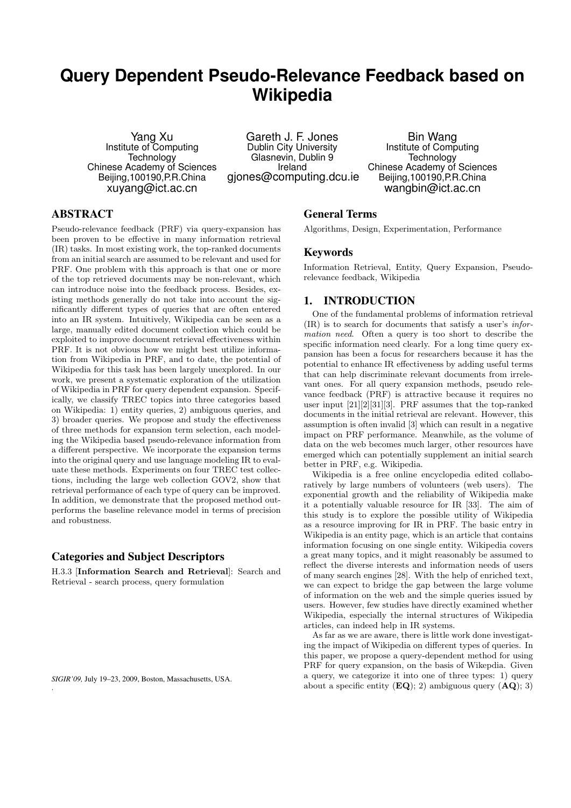# **Query Dependent Pseudo-Relevance Feedback based on Wikipedia**

Yang Xu Institute of Computing **Technology** Chinese Academy of Sciences Beijing,100190,P.R.China xuyang@ict.ac.cn

Gareth J. F. Jones Dublin City University Glasnevin, Dublin 9 Ireland gjones@computing.dcu.ie

Bin Wang Institute of Computing **Technology** Chinese Academy of Sciences Beijing,100190,P.R.China wangbin@ict.ac.cn

# ABSTRACT

Pseudo-relevance feedback (PRF) via query-expansion has been proven to be effective in many information retrieval (IR) tasks. In most existing work, the top-ranked documents from an initial search are assumed to be relevant and used for PRF. One problem with this approach is that one or more of the top retrieved documents may be non-relevant, which can introduce noise into the feedback process. Besides, existing methods generally do not take into account the significantly different types of queries that are often entered into an IR system. Intuitively, Wikipedia can be seen as a large, manually edited document collection which could be exploited to improve document retrieval effectiveness within PRF. It is not obvious how we might best utilize information from Wikipedia in PRF, and to date, the potential of Wikipedia for this task has been largely unexplored. In our work, we present a systematic exploration of the utilization of Wikipedia in PRF for query dependent expansion. Specifically, we classify TREC topics into three categories based on Wikipedia: 1) entity queries, 2) ambiguous queries, and 3) broader queries. We propose and study the effectiveness of three methods for expansion term selection, each modeling the Wikipedia based pseudo-relevance information from a different perspective. We incorporate the expansion terms into the original query and use language modeling IR to evaluate these methods. Experiments on four TREC test collections, including the large web collection GOV2, show that retrieval performance of each type of query can be improved. In addition, we demonstrate that the proposed method outperforms the baseline relevance model in terms of precision and robustness.

## Categories and Subject Descriptors

H.3.3 [**Information Search and Retrieval**]: Search and Retrieval - search process, query formulation

.

#### General Terms

Algorithms, Design, Experimentation, Performance

#### Keywords

Information Retrieval, Entity, Query Expansion, Pseudorelevance feedback, Wikipedia

# 1. INTRODUCTION

One of the fundamental problems of information retrieval (IR) is to search for documents that satisfy a user's *information need*. Often a query is too short to describe the specific information need clearly. For a long time query expansion has been a focus for researchers because it has the potential to enhance IR effectiveness by adding useful terms that can help discriminate relevant documents from irrelevant ones. For all query expansion methods, pseudo relevance feedback (PRF) is attractive because it requires no user input [21][2][31][3]. PRF assumes that the top-ranked documents in the initial retrieval are relevant. However, this assumption is often invalid [3] which can result in a negative impact on PRF performance. Meanwhile, as the volume of data on the web becomes much larger, other resources have emerged which can potentially supplement an initial search better in PRF, e.g. Wikipedia.

Wikipedia is a free online encyclopedia edited collaboratively by large numbers of volunteers (web users). The exponential growth and the reliability of Wikipedia make it a potentially valuable resource for IR [33]. The aim of this study is to explore the possible utility of Wikipedia as a resource improving for IR in PRF. The basic entry in Wikipedia is an entity page, which is an article that contains information focusing on one single entity. Wikipedia covers a great many topics, and it might reasonably be assumed to reflect the diverse interests and information needs of users of many search engines [28]. With the help of enriched text, we can expect to bridge the gap between the large volume of information on the web and the simple queries issued by users. However, few studies have directly examined whether Wikipedia, especially the internal structures of Wikipedia articles, can indeed help in IR systems.

As far as we are aware, there is little work done investigating the impact of Wikipedia on different types of queries. In this paper, we propose a query-dependent method for using PRF for query expansion, on the basis of Wikepdia. Given a query, we categorize it into one of three types: 1) query about a specific entity (**EQ**); 2) ambiguous query (**AQ**); 3)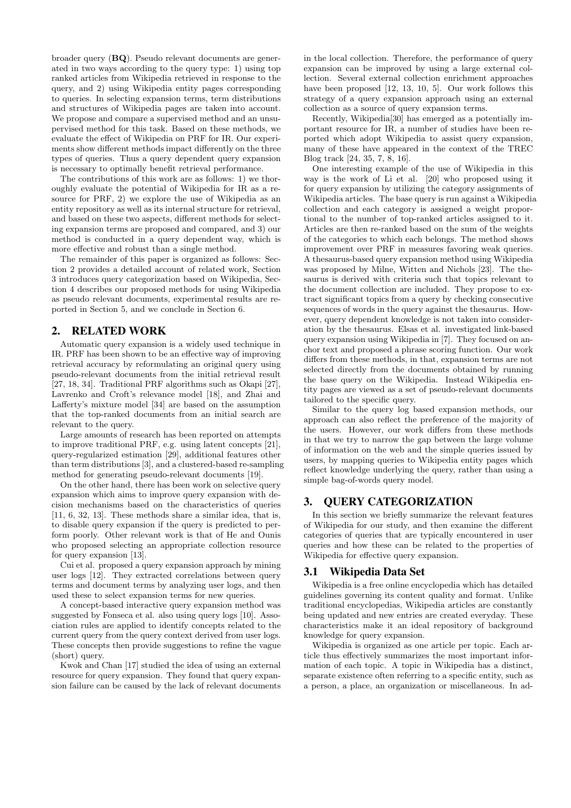broader query (**BQ**). Pseudo relevant documents are generated in two ways according to the query type: 1) using top ranked articles from Wikipedia retrieved in response to the query, and 2) using Wikipedia entity pages corresponding to queries. In selecting expansion terms, term distributions and structures of Wikipedia pages are taken into account. We propose and compare a supervised method and an unsupervised method for this task. Based on these methods, we evaluate the effect of Wikipedia on PRF for IR. Our experiments show different methods impact differently on the three types of queries. Thus a query dependent query expansion is necessary to optimally benefit retrieval performance.

The contributions of this work are as follows: 1) we thoroughly evaluate the potential of Wikipedia for IR as a resource for PRF, 2) we explore the use of Wikipedia as an entity repository as well as its internal structure for retrieval, and based on these two aspects, different methods for selecting expansion terms are proposed and compared, and 3) our method is conducted in a query dependent way, which is more effective and robust than a single method.

The remainder of this paper is organized as follows: Section 2 provides a detailed account of related work, Section 3 introduces query categorization based on Wikipedia, Section 4 describes our proposed methods for using Wikipedia as pseudo relevant documents, experimental results are reported in Section 5, and we conclude in Section 6.

# 2. RELATED WORK

Automatic query expansion is a widely used technique in IR. PRF has been shown to be an effective way of improving retrieval accuracy by reformulating an original query using pseudo-relevant documents from the initial retrieval result [27, 18, 34]. Traditional PRF algorithms such as Okapi [27], Lavrenko and Croft's relevance model [18], and Zhai and Lafferty's mixture model [34] are based on the assumption that the top-ranked documents from an initial search are relevant to the query.

Large amounts of research has been reported on attempts to improve traditional PRF, e.g. using latent concepts [21], query-regularized estimation [29], additional features other than term distributions [3], and a clustered-based re-sampling method for generating pseudo-relevant documents [19].

On the other hand, there has been work on selective query expansion which aims to improve query expansion with decision mechanisms based on the characteristics of queries [11, 6, 32, 13]. These methods share a similar idea, that is, to disable query expansion if the query is predicted to perform poorly. Other relevant work is that of He and Ounis who proposed selecting an appropriate collection resource for query expansion [13].

Cui et al. proposed a query expansion approach by mining user logs [12]. They extracted correlations between query terms and document terms by analyzing user logs, and then used these to select expansion terms for new queries.

A concept-based interactive query expansion method was suggested by Fonseca et al. also using query logs [10]. Association rules are applied to identify concepts related to the current query from the query context derived from user logs. These concepts then provide suggestions to refine the vague (short) query.

Kwok and Chan [17] studied the idea of using an external resource for query expansion. They found that query expansion failure can be caused by the lack of relevant documents in the local collection. Therefore, the performance of query expansion can be improved by using a large external collection. Several external collection enrichment approaches have been proposed [12, 13, 10, 5]. Our work follows this strategy of a query expansion approach using an external collection as a source of query expansion terms.

Recently, Wikipedia[30] has emerged as a potentially important resource for IR, a number of studies have been reported which adopt Wikipedia to assist query expansion, many of these have appeared in the context of the TREC Blog track [24, 35, 7, 8, 16].

One interesting example of the use of Wikipedia in this way is the work of Li et al. [20] who proposed using it for query expansion by utilizing the category assignments of Wikipedia articles. The base query is run against a Wikipedia collection and each category is assigned a weight proportional to the number of top-ranked articles assigned to it. Articles are then re-ranked based on the sum of the weights of the categories to which each belongs. The method shows improvement over PRF in measures favoring weak queries. A thesaurus-based query expansion method using Wikipedia was proposed by Milne, Witten and Nichols [23]. The thesaurus is derived with criteria such that topics relevant to the document collection are included. They propose to extract significant topics from a query by checking consecutive sequences of words in the query against the thesaurus. However, query dependent knowledge is not taken into consideration by the thesaurus. Elsas et al. investigated link-based query expansion using Wikipedia in [7]. They focused on anchor text and proposed a phrase scoring function. Our work differs from these methods, in that, expansion terms are not selected directly from the documents obtained by running the base query on the Wikipedia. Instead Wikipedia entity pages are viewed as a set of pseudo-relevant documents tailored to the specific query.

Similar to the query log based expansion methods, our approach can also reflect the preference of the majority of the users. However, our work differs from these methods in that we try to narrow the gap between the large volume of information on the web and the simple queries issued by users, by mapping queries to Wikipedia entity pages which reflect knowledge underlying the query, rather than using a simple bag-of-words query model.

# 3. QUERY CATEGORIZATION

In this section we briefly summarize the relevant features of Wikipedia for our study, and then examine the different categories of queries that are typically encountered in user queries and how these can be related to the properties of Wikipedia for effective query expansion.

## 3.1 Wikipedia Data Set

Wikipedia is a free online encyclopedia which has detailed guidelines governing its content quality and format. Unlike traditional encyclopedias, Wikipedia articles are constantly being updated and new entries are created everyday. These characteristics make it an ideal repository of background knowledge for query expansion.

Wikipedia is organized as one article per topic. Each article thus effectively summarizes the most important information of each topic. A topic in Wikipedia has a distinct, separate existence often referring to a specific entity, such as a person, a place, an organization or miscellaneous. In ad-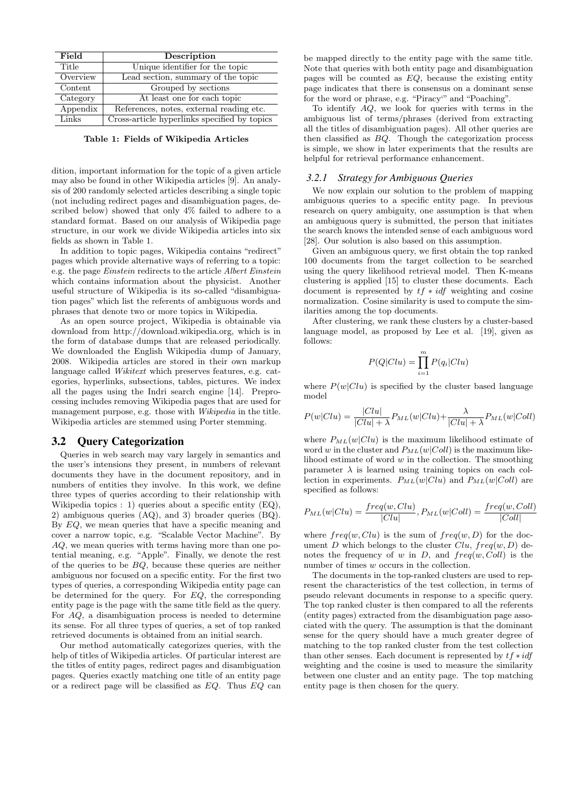| Field    | Description                                  |
|----------|----------------------------------------------|
| Title    | Unique identifier for the topic              |
| Overview | Lead section, summary of the topic           |
| Content  | Grouped by sections                          |
| Category | At least one for each topic                  |
| Appendix | References, notes, external reading etc.     |
| Links    | Cross-article hyperlinks specified by topics |

**Table 1: Fields of Wikipedia Articles**

dition, important information for the topic of a given article may also be found in other Wikipedia articles [9]. An analysis of 200 randomly selected articles describing a single topic (not including redirect pages and disambiguation pages, described below) showed that only 4% failed to adhere to a standard format. Based on our analysis of Wikipedia page structure, in our work we divide Wikipedia articles into six fields as shown in Table 1.

In addition to topic pages, Wikipedia contains "redirect" pages which provide alternative ways of referring to a topic: e.g. the page *Einstein* redirects to the article *Albert Einstein* which contains information about the physicist. Another useful structure of Wikipedia is its so-called "disambiguation pages" which list the referents of ambiguous words and phrases that denote two or more topics in Wikipedia.

As an open source project, Wikipedia is obtainable via download from http://download.wikipedia.org, which is in the form of database dumps that are released periodically. We downloaded the English Wikipedia dump of January, 2008. Wikipedia articles are stored in their own markup language called *Wikitext* which preserves features, e.g. categories, hyperlinks, subsections, tables, pictures. We index all the pages using the Indri search engine [14]. Preprocessing includes removing Wikipedia pages that are used for management purpose, e.g. those with *Wikipedia* in the title. Wikipedia articles are stemmed using Porter stemming.

#### 3.2 Query Categorization

Queries in web search may vary largely in semantics and the user's intensions they present, in numbers of relevant documents they have in the document repository, and in numbers of entities they involve. In this work, we define three types of queries according to their relationship with Wikipedia topics : 1) queries about a specific entity (EQ), 2) ambiguous queries (AQ), and 3) broader queries (BQ). By *EQ*, we mean queries that have a specific meaning and cover a narrow topic, e.g. "Scalable Vector Machine". By *AQ*, we mean queries with terms having more than one potential meaning, e.g. "Apple". Finally, we denote the rest of the queries to be *BQ*, because these queries are neither ambiguous nor focused on a specific entity. For the first two types of queries, a corresponding Wikipedia entity page can be determined for the query. For *EQ*, the corresponding entity page is the page with the same title field as the query. For *AQ*, a disambiguation process is needed to determine its sense. For all three types of queries, a set of top ranked retrieved documents is obtained from an initial search.

Our method automatically categorizes queries, with the help of titles of Wikipedia articles. Of particular interest are the titles of entity pages, redirect pages and disambiguation pages. Queries exactly matching one title of an entity page or a redirect page will be classified as *EQ*. Thus *EQ* can

be mapped directly to the entity page with the same title. Note that queries with both entity page and disambiguation pages will be counted as *EQ*, because the existing entity page indicates that there is consensus on a dominant sense for the word or phrase, e.g. "Piracy'" and "Poaching".

To identify *AQ*, we look for queries with terms in the ambiguous list of terms/phrases (derived from extracting all the titles of disambiguation pages). All other queries are then classified as *BQ*. Though the categorization process is simple, we show in later experiments that the results are helpful for retrieval performance enhancement.

#### *3.2.1 Strategy for Ambiguous Queries*

We now explain our solution to the problem of mapping ambiguous queries to a specific entity page. In previous research on query ambiguity, one assumption is that when an ambiguous query is submitted, the person that initiates the search knows the intended sense of each ambiguous word [28]. Our solution is also based on this assumption.

Given an ambiguous query, we first obtain the top ranked 100 documents from the target collection to be searched using the query likelihood retrieval model. Then K-means clustering is applied [15] to cluster these documents. Each document is represented by *tf ∗ idf* weighting and cosine normalization. Cosine similarity is used to compute the similarities among the top documents.

After clustering, we rank these clusters by a cluster-based language model, as proposed by Lee et al. [19], given as follows:

$$
P(Q|Clu) = \prod_{i=1}^{m} P(q_i|Clu)
$$

where  $P(w|Clu)$  is specified by the cluster based language model

$$
P(w|Clu) = \frac{|Clu|}{|Clu| + \lambda} P_{ML}(w|Clu) + \frac{\lambda}{|Clu| + \lambda} P_{ML}(w|Coll)
$$

where  $P_{ML}(w|Clu)$  is the maximum likelihood estimate of word *w* in the cluster and  $P_{ML}(w|Coll)$  is the maximum likelihood estimate of word *w* in the collection. The smoothing parameter  $\lambda$  is learned using training topics on each collection in experiments.  $P_{ML}(w|Clu)$  and  $P_{ML}(w|Coll)$  are specified as follows:

$$
P_{ML}(w|Clu) = \frac{freq(w, Clu)}{|Clu|}, P_{ML}(w|Coll) = \frac{freq(w, Coll)}{|Coll|}
$$

where  $freq(w, Clu)$  is the sum of  $freq(w, D)$  for the document *D* which belongs to the cluster *Clu*,  $freq(w, D)$  denotes the frequency of *w* in *D*, and *freq*(*w, Coll*) is the number of times *w* occurs in the collection.

The documents in the top-ranked clusters are used to represent the characteristics of the test collection, in terms of pseudo relevant documents in response to a specific query. The top ranked cluster is then compared to all the referents (entity pages) extracted from the disambiguation page associated with the query. The assumption is that the dominant sense for the query should have a much greater degree of matching to the top ranked cluster from the test collection than other senses. Each document is represented by *tf ∗ idf* weighting and the cosine is used to measure the similarity between one cluster and an entity page. The top matching entity page is then chosen for the query.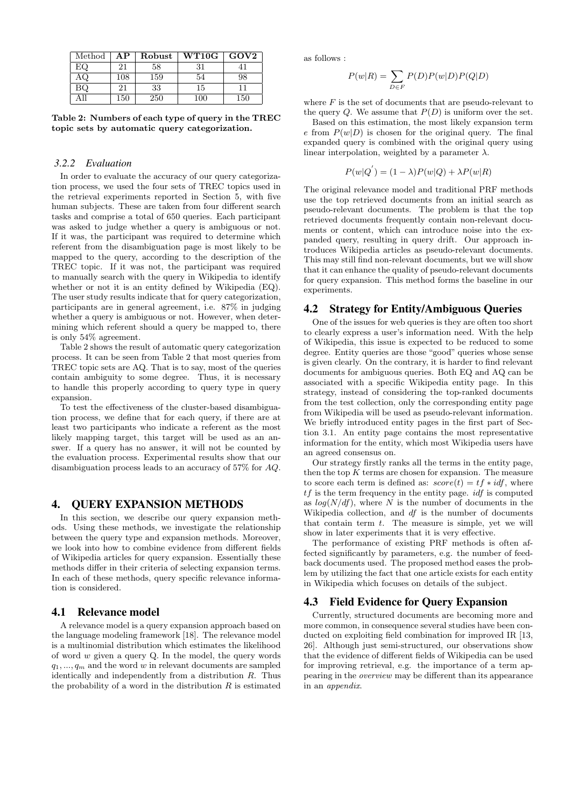| Method | AР  | Robust | $\rm W T10G$ | GOV2 |
|--------|-----|--------|--------------|------|
| EΟ     | 21  | 58     | 31           |      |
|        | 108 | 159    | 54           | 98   |
| ВQ     | 21  | 33     | 15           |      |
|        | 150 | 250    | 100          | 150  |

**Table 2: Numbers of each type of query in the TREC topic sets by automatic query categorization.**

#### *3.2.2 Evaluation*

In order to evaluate the accuracy of our query categorization process, we used the four sets of TREC topics used in the retrieval experiments reported in Section 5, with five human subjects. These are taken from four different search tasks and comprise a total of 650 queries. Each participant was asked to judge whether a query is ambiguous or not. If it was, the participant was required to determine which referent from the disambiguation page is most likely to be mapped to the query, according to the description of the TREC topic. If it was not, the participant was required to manually search with the query in Wikipedia to identify whether or not it is an entity defined by Wikipedia (EQ). The user study results indicate that for query categorization, participants are in general agreement, i.e. 87% in judging whether a query is ambiguous or not. However, when determining which referent should a query be mapped to, there is only 54% agreement.

Table 2 shows the result of automatic query categorization process. It can be seen from Table 2 that most queries from TREC topic sets are AQ. That is to say, most of the queries contain ambiguity to some degree. Thus, it is necessary to handle this properly according to query type in query expansion.

To test the effectiveness of the cluster-based disambiguation process, we define that for each query, if there are at least two participants who indicate a referent as the most likely mapping target, this target will be used as an answer. If a query has no answer, it will not be counted by the evaluation process. Experimental results show that our disambiguation process leads to an accuracy of 57% for *AQ*.

## 4. QUERY EXPANSION METHODS

In this section, we describe our query expansion methods. Using these methods, we investigate the relationship between the query type and expansion methods. Moreover, we look into how to combine evidence from different fields of Wikipedia articles for query expansion. Essentially these methods differ in their criteria of selecting expansion terms. In each of these methods, query specific relevance information is considered.

## 4.1 Relevance model

A relevance model is a query expansion approach based on the language modeling framework [18]. The relevance model is a multinomial distribution which estimates the likelihood of word *w* given a query Q. In the model, the query words  $q_1, \ldots, q_m$  and the word *w* in relevant documents are sampled identically and independently from a distribution *R*. Thus the probability of a word in the distribution  $R$  is estimated

as follows :

$$
P(w|R) = \sum_{D \in F} P(D)P(w|D)P(Q|D)
$$

where  $F$  is the set of documents that are pseudo-relevant to the query  $Q$ . We assume that  $P(D)$  is uniform over the set.

Based on this estimation, the most likely expansion term  $e$  from  $P(w|D)$  is chosen for the original query. The final expanded query is combined with the original query using linear interpolation, weighted by a parameter  $\lambda$ .

$$
P(w|Q') = (1 - \lambda)P(w|Q) + \lambda P(w|R)
$$

The original relevance model and traditional PRF methods use the top retrieved documents from an initial search as pseudo-relevant documents. The problem is that the top retrieved documents frequently contain non-relevant documents or content, which can introduce noise into the expanded query, resulting in query drift. Our approach introduces Wikipedia articles as pseudo-relevant documents. This may still find non-relevant documents, but we will show that it can enhance the quality of pseudo-relevant documents for query expansion. This method forms the baseline in our experiments.

# 4.2 Strategy for Entity/Ambiguous Queries

One of the issues for web queries is they are often too short to clearly express a user's information need. With the help of Wikipedia, this issue is expected to be reduced to some degree. Entity queries are those "good" queries whose sense is given clearly. On the contrary, it is harder to find relevant documents for ambiguous queries. Both EQ and AQ can be associated with a specific Wikipedia entity page. In this strategy, instead of considering the top-ranked documents from the test collection, only the corresponding entity page from Wikipedia will be used as pseudo-relevant information. We briefly introduced entity pages in the first part of Section 3.1. An entity page contains the most representative information for the entity, which most Wikipedia users have an agreed consensus on.

Our strategy firstly ranks all the terms in the entity page, then the top  $K$  terms are chosen for expansion. The measure to score each term is defined as:  $score(t) = tf * idf$ , where *tf* is the term frequency in the entity page. *idf* is computed as *log*(*N/df*), where *N* is the number of documents in the Wikipedia collection, and *df* is the number of documents that contain term *t*. The measure is simple, yet we will show in later experiments that it is very effective.

The performance of existing PRF methods is often affected significantly by parameters, e.g. the number of feedback documents used. The proposed method eases the problem by utilizing the fact that one article exists for each entity in Wikipedia which focuses on details of the subject.

# 4.3 Field Evidence for Query Expansion

Currently, structured documents are becoming more and more common, in consequence several studies have been conducted on exploiting field combination for improved IR [13, 26]. Although just semi-structured, our observations show that the evidence of different fields of Wikipedia can be used for improving retrieval, e.g. the importance of a term appearing in the *overview* may be different than its appearance in an *appendix*.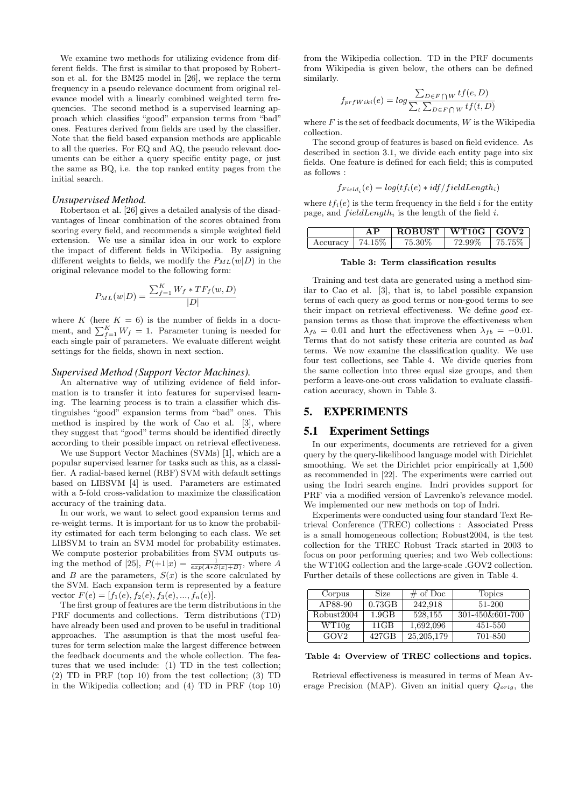We examine two methods for utilizing evidence from different fields. The first is similar to that proposed by Robertson et al. for the BM25 model in [26], we replace the term frequency in a pseudo relevance document from original relevance model with a linearly combined weighted term frequencies. The second method is a supervised learning approach which classifies "good" expansion terms from "bad" ones. Features derived from fields are used by the classifier. Note that the field based expansion methods are applicable to all the queries. For EQ and AQ, the pseudo relevant documents can be either a query specific entity page, or just the same as BQ, i.e. the top ranked entity pages from the initial search.

#### *Unsupervised Method.*

Robertson et al. [26] gives a detailed analysis of the disadvantages of linear combination of the scores obtained from scoring every field, and recommends a simple weighted field extension. We use a similar idea in our work to explore the impact of different fields in Wikipedia. By assigning different weights to fields, we modify the  $P_{ML}(w|D)$  in the original relevance model to the following form:

$$
P_{ML}(w|D) = \frac{\sum_{f=1}^{K} W_f * TF_f(w, D)}{|D|}
$$

where  $K$  (here  $K = 6$ ) is the number of fields in a document, and  $\sum_{f=1}^{K} W_f = 1$ . Parameter tuning is needed for each single pair of parameters. We evaluate different weight settings for the fields, shown in next section.

# *Supervised Method (Support Vector Machines).*

An alternative way of utilizing evidence of field information is to transfer it into features for supervised learning. The learning process is to train a classifier which distinguishes "good" expansion terms from "bad" ones. This method is inspired by the work of Cao et al. [3], where they suggest that "good" terms should be identified directly according to their possible impact on retrieval effectiveness.

We use Support Vector Machines (SVMs) [1], which are a popular supervised learner for tasks such as this, as a classifier. A radial-based kernel (RBF) SVM with default settings based on LIBSVM [4] is used. Parameters are estimated with a 5-fold cross-validation to maximize the classification accuracy of the training data.

In our work, we want to select good expansion terms and re-weight terms. It is important for us to know the probability estimated for each term belonging to each class. We set LIBSVM to train an SVM model for probability estimates. We compute posterior probabilities from SVM outputs using the method of [25],  $P(+1|x) = \frac{1}{exp(A*S(x)+B)}$ , where *A* and *B* are the parameters,  $S(x)$  is the score calculated by the SVM. Each expansion term is represented by a feature vector  $F(e) = [f_1(e), f_2(e), f_3(e), ..., f_n(e)].$ 

The first group of features are the term distributions in the PRF documents and collections. Term distributions (TD) have already been used and proven to be useful in traditional approaches. The assumption is that the most useful features for term selection make the largest difference between the feedback documents and the whole collection. The features that we used include: (1) TD in the test collection; (2) TD in PRF (top 10) from the test collection; (3) TD in the Wikipedia collection; and (4) TD in PRF (top 10)

from the Wikipedia collection. TD in the PRF documents from Wikipedia is given below, the others can be defined similarly.

$$
f_{prfWiki}(e) = log \frac{\sum_{D \in F \cap W} tf(e, D)}{\sum_{t} \sum_{D \in F \cap W} tf(t, D)}
$$

where *F* is the set of feedback documents, *W* is the Wikipedia collection.

The second group of features is based on field evidence. As described in section 3.1, we divide each entity page into six fields. One feature is defined for each field; this is computed as follows :

$$
f_{Field_i}(e) = log(tf_i(e) * idf/fieldLength_i)
$$

where  $tf_i(e)$  is the term frequency in the field *i* for the entity page, and *f ieldLength<sup>i</sup>* is the length of the field *i*.

|                      | ΔP | $ROBUST$   WT10G   GOV2 |        |         |
|----------------------|----|-------------------------|--------|---------|
| Accuracy   $74.15\%$ |    | 75.30%                  | 72.99% | 175.75% |

#### **Table 3: Term classification results**

Training and test data are generated using a method similar to Cao et al. [3], that is, to label possible expansion terms of each query as good terms or non-good terms to see their impact on retrieval effectiveness. We define *good* expansion terms as those that improve the effectiveness when  $\lambda_{fb} = 0.01$  and hurt the effectiveness when  $\lambda_{fb} = -0.01$ . Terms that do not satisfy these criteria are counted as *bad* terms. We now examine the classification quality. We use four test collections, see Table 4. We divide queries from the same collection into three equal size groups, and then perform a leave-one-out cross validation to evaluate classification accuracy, shown in Table 3.

## 5. EXPERIMENTS

#### 5.1 Experiment Settings

In our experiments, documents are retrieved for a given query by the query-likelihood language model with Dirichlet smoothing. We set the Dirichlet prior empirically at 1,500 as recommended in [22]. The experiments were carried out using the Indri search engine. Indri provides support for PRF via a modified version of Lavrenko's relevance model. We implemented our new methods on top of Indri.

Experiments were conducted using four standard Text Retrieval Conference (TREC) collections : Associated Press is a small homogeneous collection; Robust2004, is the test collection for the TREC Robust Track started in 2003 to focus on poor performing queries; and two Web collections: the WT10G collection and the large-scale .GOV2 collection. Further details of these collections are given in Table 4.

| Corpus           | Size     | $\#$ of Doc  | <b>Topics</b>   |
|------------------|----------|--------------|-----------------|
| AP88-90          | 0.73GB   | 242.918      | 51-200          |
| Robust2004       | 1.9GB    | 528,155      | 301-450&601-700 |
| WT10g            | $11$ GB  | 1,692,096    | 451-550         |
| GOV <sub>2</sub> | $427$ GB | 25, 205, 179 | 701-850         |

**Table 4: Overview of TREC collections and topics.**

Retrieval effectiveness is measured in terms of Mean Average Precision (MAP). Given an initial query *Qorig*, the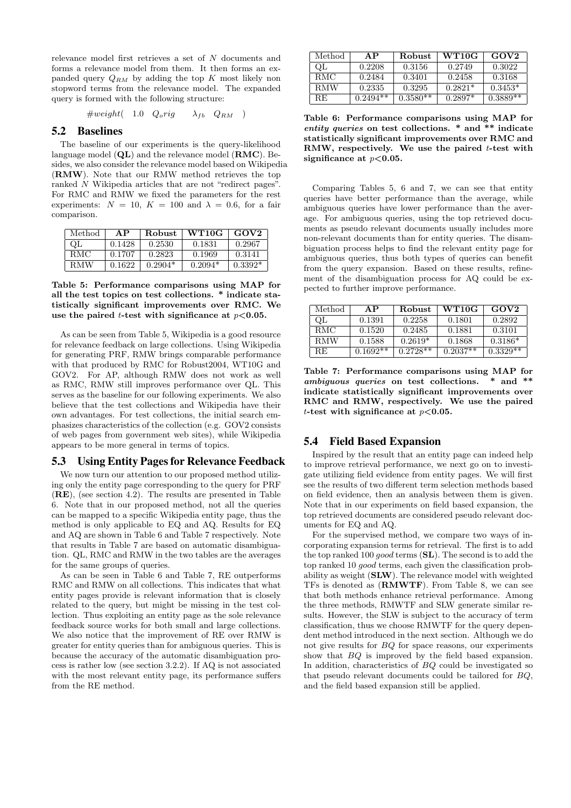relevance model first retrieves a set of *N* documents and forms a relevance model from them. It then forms an expanded query *QRM* by adding the top *K* most likely non stopword terms from the relevance model. The expanded query is formed with the following structure:

$$
\#weight( 1.0 \quad Q_{o}rig \quad \lambda_{fb} \quad Q_{RM} )
$$

# 5.2 Baselines

The baseline of our experiments is the query-likelihood language model (**QL**) and the relevance model (**RMC**). Besides, we also consider the relevance model based on Wikipedia (**RMW**). Note that our RMW method retrieves the top ranked *N* Wikipedia articles that are not "redirect pages". For RMC and RMW we fixed the parameters for the rest experiments:  $N = 10$ ,  $K = 100$  and  $\lambda = 0.6$ , for a fair comparison.

| Method     | ΑP     | <b>Robust</b> | WT10G     | GOV2      |
|------------|--------|---------------|-----------|-----------|
| OГ         | 0.1428 | 0.2530        | 0.1831    | 0.2967    |
| -RMC       | 0.1707 | 0.2823        | 0.1969    | 0.3141    |
| <b>RMW</b> | 0.1622 | $0.2904*$     | $0.2094*$ | $0.3392*$ |

**Table 5: Performance comparisons using MAP for all the test topics on test collections. \* indicate statistically significant improvements over RMC. We use the paired** *t***-test with significance at** *p<***0.05.**

As can be seen from Table 5, Wikipedia is a good resource for relevance feedback on large collections. Using Wikipedia for generating PRF, RMW brings comparable performance with that produced by RMC for Robust2004, WT10G and GOV2. For AP, although RMW does not work as well as RMC, RMW still improves performance over QL. This serves as the baseline for our following experiments. We also believe that the test collections and Wikipedia have their own advantages. For test collections, the initial search emphasizes characteristics of the collection (e.g. GOV2 consists of web pages from government web sites), while Wikipedia appears to be more general in terms of topics.

## 5.3 Using Entity Pages for Relevance Feedback

We now turn our attention to our proposed method utilizing only the entity page corresponding to the query for PRF (**RE**), (see section 4.2). The results are presented in Table 6. Note that in our proposed method, not all the queries can be mapped to a specific Wikipedia entity page, thus the method is only applicable to EQ and AQ. Results for EQ and AQ are shown in Table 6 and Table 7 respectively. Note that results in Table 7 are based on automatic disambiguation. QL, RMC and RMW in the two tables are the averages for the same groups of queries.

As can be seen in Table 6 and Table 7, RE outperforms RMC and RMW on all collections. This indicates that what entity pages provide is relevant information that is closely related to the query, but might be missing in the test collection. Thus exploiting an entity page as the sole relevance feedback source works for both small and large collections. We also notice that the improvement of RE over RMW is greater for entity queries than for ambiguous queries. This is because the accuracy of the automatic disambiguation process is rather low (see section 3.2.2). If AQ is not associated with the most relevant entity page, its performance suffers from the RE method.

| Method     | AP         | <b>Robust</b> | WT10G     | GOV2       |
|------------|------------|---------------|-----------|------------|
| QL         | 0.2208     | 0.3156        | 0.2749    | 0.3022     |
| <b>RMC</b> | 0.2484     | 0.3401        | 0.2458    | 0.3168     |
| <b>RMW</b> | 0.2335     | 0.3295        | $0.2821*$ | $0.3453*$  |
| RE.        | $0.2494**$ | $0.3580**$    | $0.2897*$ | $0.3889**$ |

**Table 6: Performance comparisons using MAP for** *entity queries* **on test collections. \* and \*\* indicate statistically significant improvements over RMC and RMW, respectively. We use the paired** *t***-test with significance at** *p<***0.05.**

Comparing Tables 5, 6 and 7, we can see that entity queries have better performance than the average, while ambiguous queries have lower performance than the average. For ambiguous queries, using the top retrieved documents as pseudo relevant documents usually includes more non-relevant documents than for entity queries. The disambiguation process helps to find the relevant entity page for ambiguous queries, thus both types of queries can benefit from the query expansion. Based on these results, refinement of the disambiguation process for AQ could be expected to further improve performance.

| Method     | ΑP         | <b>Robust</b> | WT10G      | GOV2       |
|------------|------------|---------------|------------|------------|
| ΩF         | 0.1391     | 0.2258        | 0.1801     | 0.2892     |
| <b>RMC</b> | 0.1520     | 0.2485        | 0.1881     | 0.3101     |
| <b>RMW</b> | 0.1588     | $0.2619*$     | 0.1868     | $0.3186*$  |
| RE.        | $0.1692**$ | $0.2728**$    | $0.2037**$ | $0.3329**$ |

**Table 7: Performance comparisons using MAP for** *ambiguous queries* **on test collections. \* and \*\* indicate statistically significant improvements over RMC and RMW, respectively. We use the paired** *t***-test with significance at** *p<***0.05.**

## 5.4 Field Based Expansion

Inspired by the result that an entity page can indeed help to improve retrieval performance, we next go on to investigate utilizing field evidence from entity pages. We will first see the results of two different term selection methods based on field evidence, then an analysis between them is given. Note that in our experiments on field based expansion, the top retrieved documents are considered pseudo relevant documents for EQ and AQ.

For the supervised method, we compare two ways of incorporating expansion terms for retrieval. The first is to add the top ranked 100 *good* terms (**SL**). The second is to add the top ranked 10 *good* terms, each given the classification probability as weight (**SLW**). The relevance model with weighted TFs is denoted as (**RMWTF**). From Table 8, we can see that both methods enhance retrieval performance. Among the three methods, RMWTF and SLW generate similar results. However, the SLW is subject to the accuracy of term classification, thus we choose RMWTF for the query dependent method introduced in the next section. Although we do not give results for *BQ* for space reasons, our experiments show that *BQ* is improved by the field based expansion. In addition, characteristics of *BQ* could be investigated so that pseudo relevant documents could be tailored for *BQ*, and the field based expansion still be applied.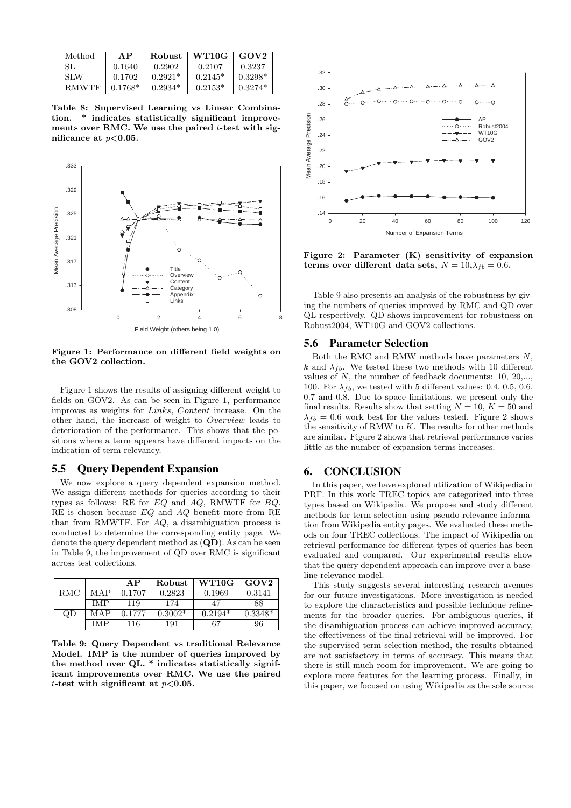| Method       | AP        | Robust    | WT10G     | GOV2      |
|--------------|-----------|-----------|-----------|-----------|
| SL           | 0.1640    | 0.2902    | 0.2107    | 0.3237    |
| SLW          | 0.1702    | $0.2921*$ | $0.2145*$ | $0.3298*$ |
| <b>RMWTF</b> | $0.1768*$ | $0.2934*$ | $0.2153*$ | $0.3274*$ |

**Table 8: Supervised Learning vs Linear Combination. \* indicates statistically significant improvements over RMC. We use the paired** *t***-test with significance at** *p<***0.05.**



**Figure 1: Performance on different field weights on the GOV2 collection.**

Figure 1 shows the results of assigning different weight to fields on GOV2. As can be seen in Figure 1, performance improves as weights for *Links*, *Content* increase. On the other hand, the increase of weight to *Overview* leads to deterioration of the performance. This shows that the positions where a term appears have different impacts on the indication of term relevancy.

#### 5.5 Query Dependent Expansion

We now explore a query dependent expansion method. We assign different methods for queries according to their types as follows: RE for *EQ* and *AQ*, RMWTF for *BQ*. RE is chosen because *EQ* and *AQ* benefit more from RE than from RMWTF. For *AQ*, a disambiguation process is conducted to determine the corresponding entity page. We denote the query dependent method as (**QD**). As can be seen in Table 9, the improvement of QD over RMC is significant across test collections.

|            |     | AP     | Robust    | WT10G     | GOV2      |
|------------|-----|--------|-----------|-----------|-----------|
| <b>RMC</b> | MAP | 0.1707 | 0.2823    | 0.1969    | 0.3141    |
|            | IMP | 119    | 174       | 47        | 88        |
| QD         | MAP | 0.1777 | $0.3002*$ | $0.2194*$ | $0.3348*$ |
|            | IMP | 116    | 191       | 67        | 96        |

**Table 9: Query Dependent vs traditional Relevance Model. IMP is the number of queries improved by the method over QL. \* indicates statistically significant improvements over RMC. We use the paired** *t***-test with significant at** *p<***0.05.**



**Figure 2: Parameter (K) sensitivity of expansion terms over different data sets,**  $N = 10, \lambda_{fb} = 0.6$ .

Table 9 also presents an analysis of the robustness by giving the numbers of queries improved by RMC and QD over QL respectively. QD shows improvement for robustness on Robust2004, WT10G and GOV2 collections.

## 5.6 Parameter Selection

Both the RMC and RMW methods have parameters *N*, *k* and  $\lambda_{fb}$ . We tested these two methods with 10 different values of *N*, the number of feedback documents: 10, 20,..., 100. For  $\lambda_{fb}$ , we tested with 5 different values: 0.4, 0.5, 0.6, 0.7 and 0.8. Due to space limitations, we present only the final results. Results show that setting  $N = 10$ ,  $K = 50$  and  $\lambda_{fb} = 0.6$  work best for the values tested. Figure 2 shows the sensitivity of RMW to *K*. The results for other methods are similar. Figure 2 shows that retrieval performance varies little as the number of expansion terms increases.

## 6. CONCLUSION

In this paper, we have explored utilization of Wikipedia in PRF. In this work TREC topics are categorized into three types based on Wikipedia. We propose and study different methods for term selection using pseudo relevance information from Wikipedia entity pages. We evaluated these methods on four TREC collections. The impact of Wikipedia on retrieval performance for different types of queries has been evaluated and compared. Our experimental results show that the query dependent approach can improve over a baseline relevance model.

This study suggests several interesting research avenues for our future investigations. More investigation is needed to explore the characteristics and possible technique refinements for the broader queries. For ambiguous queries, if the disambiguation process can achieve improved accuracy, the effectiveness of the final retrieval will be improved. For the supervised term selection method, the results obtained are not satisfactory in terms of accuracy. This means that there is still much room for improvement. We are going to explore more features for the learning process. Finally, in this paper, we focused on using Wikipedia as the sole source